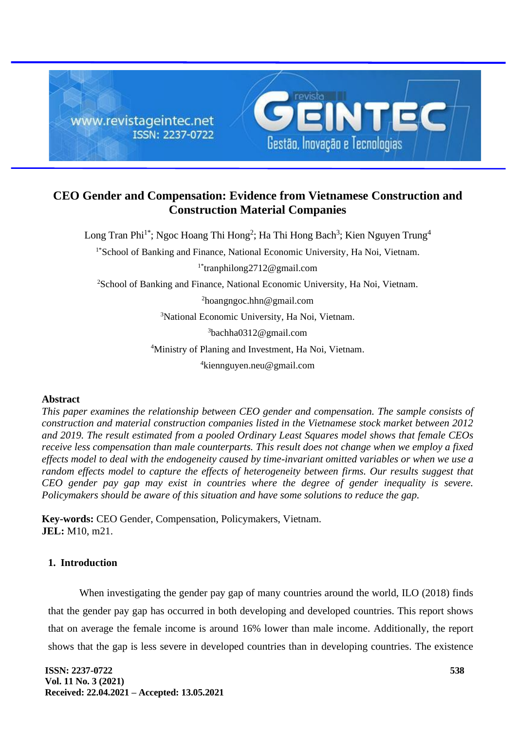

# **CEO Gender and Compensation: Evidence from Vietnamese Construction and Construction Material Companies**

Long Tran Phi<sup>1\*</sup>; Ngoc Hoang Thi Hong<sup>2</sup>; Ha Thi Hong Bach<sup>3</sup>; Kien Nguyen Trung<sup>4</sup>

<sup>1\*</sup>School of Banking and Finance, National Economic University, Ha Noi, Vietnam.

1\*tranphilong2712@gmail.com

<sup>2</sup>School of Banking and Finance, National Economic University, Ha Noi, Vietnam.

<sup>2</sup>hoangngoc.hhn@gmail.com

<sup>3</sup>National Economic University, Ha Noi, Vietnam.

<sup>3</sup>bachha0312@gmail.com

<sup>4</sup>Ministry of Planing and Investment, Ha Noi, Vietnam.

<sup>4</sup>kiennguyen.neu@gmail.com

### **Abstract**

*This paper examines the relationship between CEO gender and compensation. The sample consists of construction and material construction companies listed in the Vietnamese stock market between 2012 and 2019. The result estimated from a pooled Ordinary Least Squares model shows that female CEOs receive less compensation than male counterparts. This result does not change when we employ a fixed effects model to deal with the endogeneity caused by time-invariant omitted variables or when we use a random effects model to capture the effects of heterogeneity between firms. Our results suggest that CEO gender pay gap may exist in countries where the degree of gender inequality is severe. Policymakers should be aware of this situation and have some solutions to reduce the gap.*

**Key-words:** CEO Gender, Compensation, Policymakers, Vietnam. **JEL:** M10, m21.

## **1. Introduction**

When investigating the gender pay gap of many countries around the world, ILO (2018) finds that the gender pay gap has occurred in both developing and developed countries. This report shows that on average the female income is around 16% lower than male income. Additionally, the report shows that the gap is less severe in developed countries than in developing countries. The existence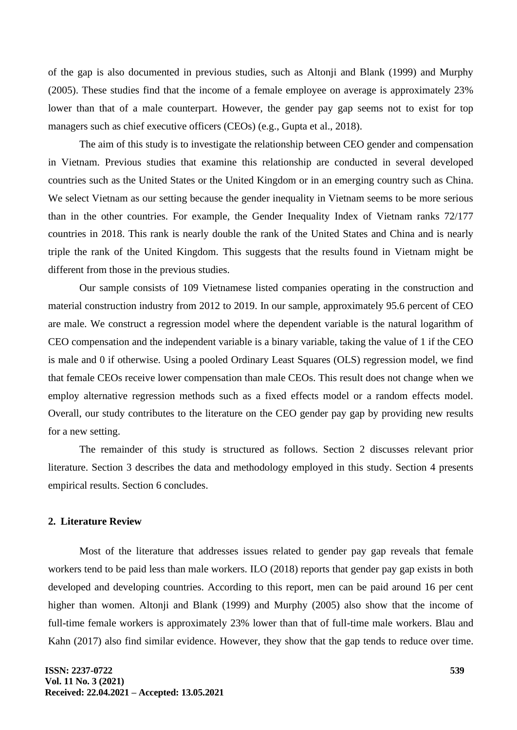of the gap is also documented in previous studies, such as Altonji and Blank (1999) and Murphy (2005). These studies find that the income of a female employee on average is approximately 23% lower than that of a male counterpart. However, the gender pay gap seems not to exist for top managers such as chief executive officers (CEOs) (e.g., Gupta et al., 2018).

The aim of this study is to investigate the relationship between CEO gender and compensation in Vietnam. Previous studies that examine this relationship are conducted in several developed countries such as the United States or the United Kingdom or in an emerging country such as China. We select Vietnam as our setting because the gender inequality in Vietnam seems to be more serious than in the other countries. For example, the Gender Inequality Index of Vietnam ranks 72/177 countries in 2018. This rank is nearly double the rank of the United States and China and is nearly triple the rank of the United Kingdom. This suggests that the results found in Vietnam might be different from those in the previous studies.

Our sample consists of 109 Vietnamese listed companies operating in the construction and material construction industry from 2012 to 2019. In our sample, approximately 95.6 percent of CEO are male. We construct a regression model where the dependent variable is the natural logarithm of CEO compensation and the independent variable is a binary variable, taking the value of 1 if the CEO is male and 0 if otherwise. Using a pooled Ordinary Least Squares (OLS) regression model, we find that female CEOs receive lower compensation than male CEOs. This result does not change when we employ alternative regression methods such as a fixed effects model or a random effects model. Overall, our study contributes to the literature on the CEO gender pay gap by providing new results for a new setting.

The remainder of this study is structured as follows. Section 2 discusses relevant prior literature. Section 3 describes the data and methodology employed in this study. Section 4 presents empirical results. Section 6 concludes.

### **2. Literature Review**

Most of the literature that addresses issues related to gender pay gap reveals that female workers tend to be paid less than male workers. ILO (2018) reports that gender pay gap exists in both developed and developing countries. According to this report, men can be paid around 16 per cent higher than women. Altonji and Blank (1999) and Murphy (2005) also show that the income of full-time female workers is approximately 23% lower than that of full-time male workers. Blau and Kahn (2017) also find similar evidence. However, they show that the gap tends to reduce over time.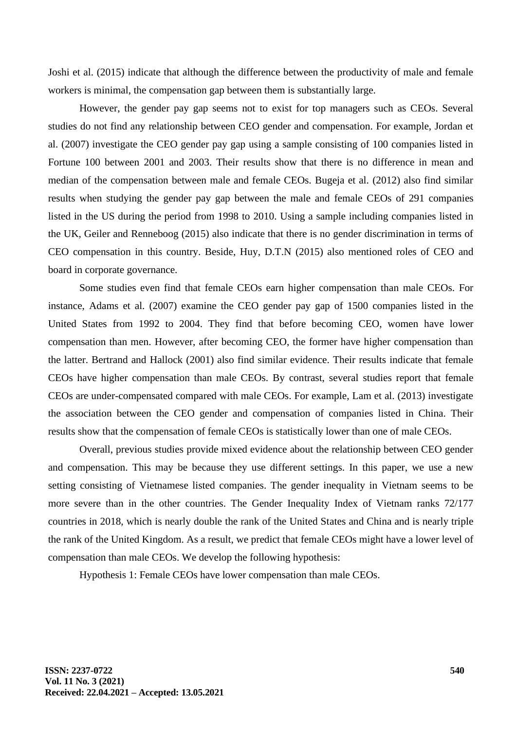Joshi et al. (2015) indicate that although the difference between the productivity of male and female workers is minimal, the compensation gap between them is substantially large.

However, the gender pay gap seems not to exist for top managers such as CEOs. Several studies do not find any relationship between CEO gender and compensation. For example, Jordan et al. (2007) investigate the CEO gender pay gap using a sample consisting of 100 companies listed in Fortune 100 between 2001 and 2003. Their results show that there is no difference in mean and median of the compensation between male and female CEOs. Bugeja et al. (2012) also find similar results when studying the gender pay gap between the male and female CEOs of 291 companies listed in the US during the period from 1998 to 2010. Using a sample including companies listed in the UK, Geiler and Renneboog (2015) also indicate that there is no gender discrimination in terms of CEO compensation in this country. Beside, Huy, D.T.N (2015) also mentioned roles of CEO and board in corporate governance.

Some studies even find that female CEOs earn higher compensation than male CEOs. For instance, Adams et al. (2007) examine the CEO gender pay gap of 1500 companies listed in the United States from 1992 to 2004. They find that before becoming CEO, women have lower compensation than men. However, after becoming CEO, the former have higher compensation than the latter. Bertrand and Hallock (2001) also find similar evidence. Their results indicate that female CEOs have higher compensation than male CEOs. By contrast, several studies report that female CEOs are under-compensated compared with male CEOs. For example, Lam et al. (2013) investigate the association between the CEO gender and compensation of companies listed in China. Their results show that the compensation of female CEOs is statistically lower than one of male CEOs.

Overall, previous studies provide mixed evidence about the relationship between CEO gender and compensation. This may be because they use different settings. In this paper, we use a new setting consisting of Vietnamese listed companies. The gender inequality in Vietnam seems to be more severe than in the other countries. The Gender Inequality Index of Vietnam ranks 72/177 countries in 2018, which is nearly double the rank of the United States and China and is nearly triple the rank of the United Kingdom. As a result, we predict that female CEOs might have a lower level of compensation than male CEOs. We develop the following hypothesis:

Hypothesis 1: Female CEOs have lower compensation than male CEOs.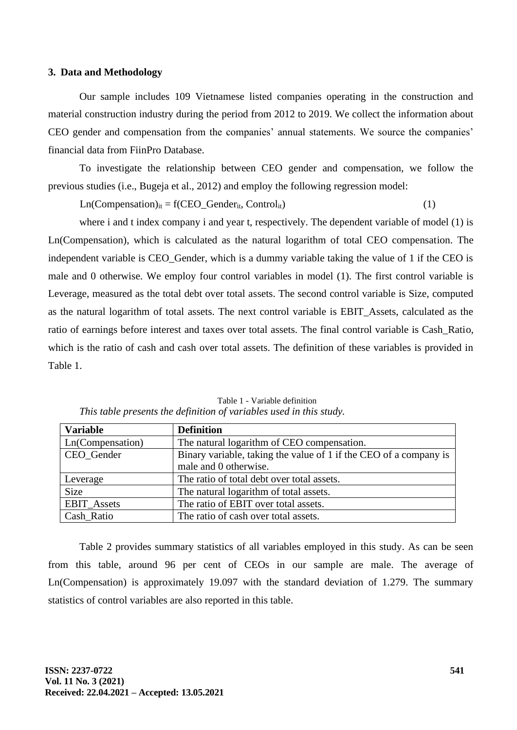#### **3. Data and Methodology**

Our sample includes 109 Vietnamese listed companies operating in the construction and material construction industry during the period from 2012 to 2019. We collect the information about CEO gender and compensation from the companies' annual statements. We source the companies' financial data from FiinPro Database.

To investigate the relationship between CEO gender and compensation, we follow the previous studies (i.e., Bugeja et al., 2012) and employ the following regression model:

 $Ln(Compensation)_{it} = f(CEO_Gender_{it}, Control_{it})$  (1)

where i and t index company i and year t, respectively. The dependent variable of model (1) is Ln(Compensation), which is calculated as the natural logarithm of total CEO compensation. The independent variable is CEO\_Gender, which is a dummy variable taking the value of 1 if the CEO is male and 0 otherwise. We employ four control variables in model (1). The first control variable is Leverage, measured as the total debt over total assets. The second control variable is Size, computed as the natural logarithm of total assets. The next control variable is EBIT\_Assets, calculated as the ratio of earnings before interest and taxes over total assets. The final control variable is Cash\_Ratio, which is the ratio of cash and cash over total assets. The definition of these variables is provided in Table 1.

| <b>Variable</b>    | <b>Definition</b>                                                 |
|--------------------|-------------------------------------------------------------------|
| Ln(Compensation)   | The natural logarithm of CEO compensation.                        |
| CEO Gender         | Binary variable, taking the value of 1 if the CEO of a company is |
|                    | male and 0 otherwise.                                             |
| Leverage           | The ratio of total debt over total assets.                        |
| Size               | The natural logarithm of total assets.                            |
| <b>EBIT_Assets</b> | The ratio of EBIT over total assets.                              |
| Cash Ratio         | The ratio of cash over total assets.                              |

Table 1 - Variable definition *This table presents the definition of variables used in this study.*

Table 2 provides summary statistics of all variables employed in this study. As can be seen from this table, around 96 per cent of CEOs in our sample are male. The average of Ln(Compensation) is approximately 19.097 with the standard deviation of 1.279. The summary statistics of control variables are also reported in this table.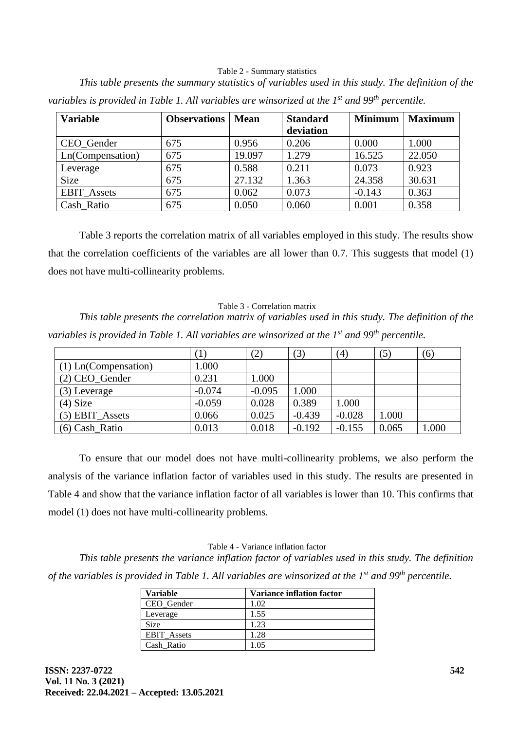### Table 2 - Summary statistics

*This table presents the summary statistics of variables used in this study. The definition of the* 

### **Variable Observations Mean Standard deviation Minimum Maximum** CEO Gender 675 0.956 0.206 0.000 1.000 Ln(Compensation) 675 19.097 1.279 16.525 22.050 Leverage 675 0.588 0.211 0.073 0.923 Size | 675 | 27.132 | 1.363 | 24.358 | 30.631 EBIT\_Assets | 675 | 0.062 | 0.073 | -0.143 | 0.363 Cash Ratio 675 0.050 0.060 0.001 0.358

*variables is provided in Table 1. All variables are winsorized at the 1st and 99th percentile.* 

Table 3 reports the correlation matrix of all variables employed in this study. The results show that the correlation coefficients of the variables are all lower than 0.7. This suggests that model (1) does not have multi-collinearity problems.

#### Table 3 - Correlation matrix

*This table presents the correlation matrix of variables used in this study. The definition of the variables is provided in Table 1. All variables are winsorized at the 1st and 99th percentile.*

|                        |          | 2)       | (3)      | (4)      | (5)   | (6)  |
|------------------------|----------|----------|----------|----------|-------|------|
| $(1)$ Ln(Compensation) | 1.000    |          |          |          |       |      |
| (2) CEO_Gender         | 0.231    | 1.000    |          |          |       |      |
| (3) Leverage           | $-0.074$ | $-0.095$ | 1.000    |          |       |      |
| $(4)$ Size             | $-0.059$ | 0.028    | 0.389    | 1.000    |       |      |
| $(5)$ EBIT_Assets      | 0.066    | 0.025    | $-0.439$ | $-0.028$ | 1.000 |      |
| (6) Cash Ratio         | 0.013    | 0.018    | $-0.192$ | $-0.155$ | 0.065 | .000 |

To ensure that our model does not have multi-collinearity problems, we also perform the analysis of the variance inflation factor of variables used in this study. The results are presented in Table 4 and show that the variance inflation factor of all variables is lower than 10. This confirms that model (1) does not have multi-collinearity problems.

#### Table 4 - Variance inflation factor

*This table presents the variance inflation factor of variables used in this study. The definition of the variables is provided in Table 1. All variables are winsorized at the 1st and 99th percentile.*

| <b>Variable</b>    | <b>Variance inflation factor</b> |
|--------------------|----------------------------------|
| CEO Gender         | 1.02                             |
| Leverage           | 1.55                             |
| <b>Size</b>        | 1.23                             |
| <b>EBIT</b> Assets | 1.28                             |
| Cash Ratio         |                                  |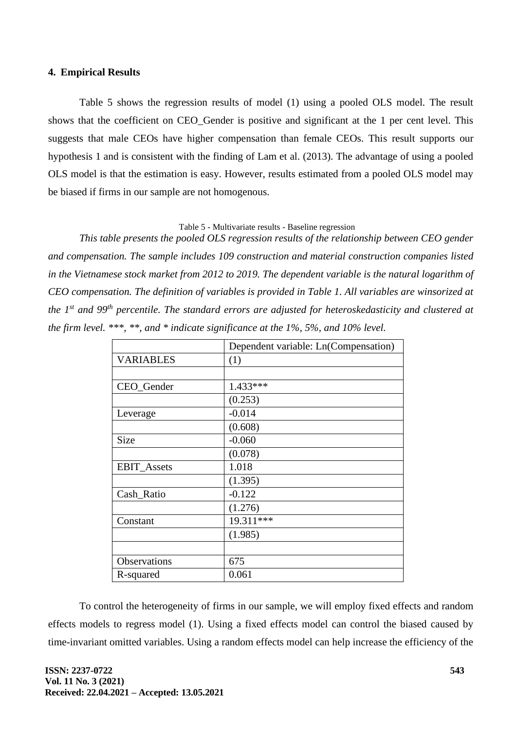### **4. Empirical Results**

Table 5 shows the regression results of model (1) using a pooled OLS model. The result shows that the coefficient on CEO Gender is positive and significant at the 1 per cent level. This suggests that male CEOs have higher compensation than female CEOs. This result supports our hypothesis 1 and is consistent with the finding of Lam et al. (2013). The advantage of using a pooled OLS model is that the estimation is easy. However, results estimated from a pooled OLS model may be biased if firms in our sample are not homogenous.

### Table 5 - Multivariate results - Baseline regression

*This table presents the pooled OLS regression results of the relationship between CEO gender and compensation. The sample includes 109 construction and material construction companies listed in the Vietnamese stock market from 2012 to 2019. The dependent variable is the natural logarithm of CEO compensation. The definition of variables is provided in Table 1. All variables are winsorized at the 1st and 99th percentile. The standard errors are adjusted for heteroskedasticity and clustered at the firm level. \*\*\*, \*\*, and \* indicate significance at the 1%, 5%, and 10% level.* 

|                    | Dependent variable: Ln(Compensation) |
|--------------------|--------------------------------------|
| <b>VARIABLES</b>   | (1)                                  |
|                    |                                      |
| CEO_Gender         | $1.433***$                           |
|                    | (0.253)                              |
| Leverage           | $-0.014$                             |
|                    | (0.608)                              |
| <b>Size</b>        | $-0.060$                             |
|                    | (0.078)                              |
| <b>EBIT_Assets</b> | 1.018                                |
|                    | (1.395)                              |
| Cash_Ratio         | $-0.122$                             |
|                    | (1.276)                              |
| Constant           | 19.311***                            |
|                    | (1.985)                              |
|                    |                                      |
| Observations       | 675                                  |
| R-squared          | 0.061                                |

To control the heterogeneity of firms in our sample, we will employ fixed effects and random effects models to regress model (1). Using a fixed effects model can control the biased caused by time-invariant omitted variables. Using a random effects model can help increase the efficiency of the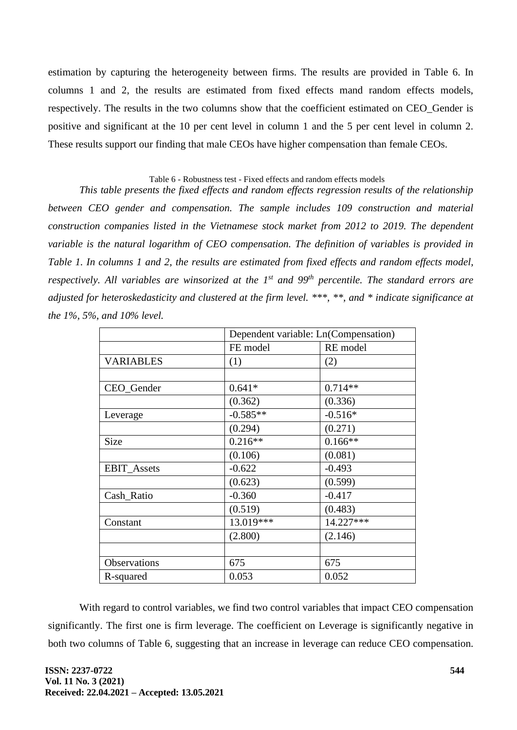estimation by capturing the heterogeneity between firms. The results are provided in Table 6. In columns 1 and 2, the results are estimated from fixed effects mand random effects models, respectively. The results in the two columns show that the coefficient estimated on CEO\_Gender is positive and significant at the 10 per cent level in column 1 and the 5 per cent level in column 2. These results support our finding that male CEOs have higher compensation than female CEOs.

### Table 6 - Robustness test - Fixed effects and random effects models

*This table presents the fixed effects and random effects regression results of the relationship between CEO gender and compensation. The sample includes 109 construction and material construction companies listed in the Vietnamese stock market from 2012 to 2019. The dependent variable is the natural logarithm of CEO compensation. The definition of variables is provided in Table 1. In columns 1 and 2, the results are estimated from fixed effects and random effects model, respectively. All variables are winsorized at the 1st and 99th percentile. The standard errors are adjusted for heteroskedasticity and clustered at the firm level. \*\*\*, \*\*, and \* indicate significance at the 1%, 5%, and 10% level.* 

|                    | Dependent variable: Ln(Compensation) |           |  |
|--------------------|--------------------------------------|-----------|--|
|                    | FE model                             | RE model  |  |
| <b>VARIABLES</b>   | (1)                                  | (2)       |  |
|                    |                                      |           |  |
| CEO_Gender         | $0.641*$                             | $0.714**$ |  |
|                    | (0.362)                              | (0.336)   |  |
| Leverage           | $-0.585**$                           | $-0.516*$ |  |
|                    | (0.294)                              | (0.271)   |  |
| Size               | $0.216**$                            | $0.166**$ |  |
|                    | (0.106)                              | (0.081)   |  |
| <b>EBIT_Assets</b> | $-0.622$                             | $-0.493$  |  |
|                    | (0.623)                              | (0.599)   |  |
| Cash Ratio         | $-0.360$                             | $-0.417$  |  |
|                    | (0.519)                              | (0.483)   |  |
| Constant           | 13.019***                            | 14.227*** |  |
|                    | (2.800)                              | (2.146)   |  |
|                    |                                      |           |  |
| Observations       | 675                                  | 675       |  |
| R-squared          | 0.053                                | 0.052     |  |

With regard to control variables, we find two control variables that impact CEO compensation significantly. The first one is firm leverage. The coefficient on Leverage is significantly negative in both two columns of Table 6, suggesting that an increase in leverage can reduce CEO compensation.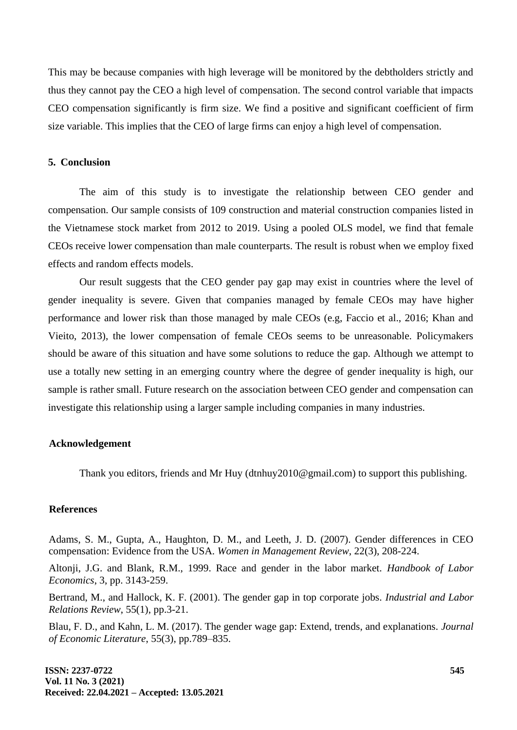This may be because companies with high leverage will be monitored by the debtholders strictly and thus they cannot pay the CEO a high level of compensation. The second control variable that impacts CEO compensation significantly is firm size. We find a positive and significant coefficient of firm size variable. This implies that the CEO of large firms can enjoy a high level of compensation.

### **5. Conclusion**

The aim of this study is to investigate the relationship between CEO gender and compensation. Our sample consists of 109 construction and material construction companies listed in the Vietnamese stock market from 2012 to 2019. Using a pooled OLS model, we find that female CEOs receive lower compensation than male counterparts. The result is robust when we employ fixed effects and random effects models.

Our result suggests that the CEO gender pay gap may exist in countries where the level of gender inequality is severe. Given that companies managed by female CEOs may have higher performance and lower risk than those managed by male CEOs (e.g, Faccio et al., 2016; Khan and Vieito, 2013), the lower compensation of female CEOs seems to be unreasonable. Policymakers should be aware of this situation and have some solutions to reduce the gap. Although we attempt to use a totally new setting in an emerging country where the degree of gender inequality is high, our sample is rather small. Future research on the association between CEO gender and compensation can investigate this relationship using a larger sample including companies in many industries.

### **Acknowledgement**

Thank you editors, friends and Mr Huy (dtnhuy2010@gmail.com) to support this publishing.

### **References**

Adams, S. M., Gupta, A., Haughton, D. M., and Leeth, J. D. (2007). Gender differences in CEO compensation: Evidence from the USA. *Women in Management Review*, 22(3), 208-224.

Altonji, J.G. and Blank, R.M., 1999. Race and gender in the labor market. *Handbook of Labor Economics*, 3, pp. 3143-259.

Bertrand, M., and Hallock, K. F. (2001). The gender gap in top corporate jobs. *Industrial and Labor Relations Review*, 55(1), pp.3-21.

Blau, F. D., and Kahn, L. M. (2017). The gender wage gap: Extend, trends, and explanations. *Journal of Economic Literature*, 55(3), pp.789–835.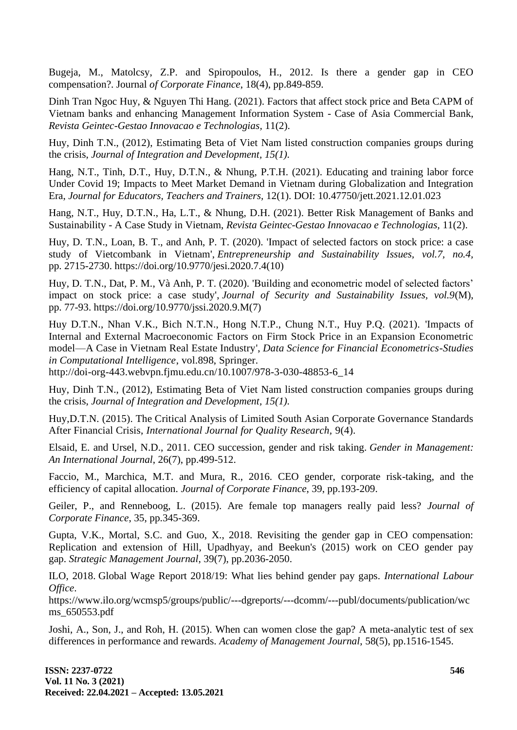Bugeja, M., Matolcsy, Z.P. and Spiropoulos, H., 2012. Is there a gender gap in CEO compensation?. Journal *of Corporate Finance*, 18(4), pp.849-859.

Dinh Tran Ngoc Huy, & Nguyen Thi Hang. (2021). Factors that affect stock price and Beta CAPM of Vietnam banks and enhancing Management Information System - Case of Asia Commercial Bank, *Revista Geintec-Gestao Innovacao e Technologias,* 11(2).

Huy, Dinh T.N., (2012), Estimating Beta of Viet Nam listed construction companies groups during the crisis, *Journal of Integration and Development, 15(1).*

Hang, N.T., Tinh, D.T., Huy, D.T.N., & Nhung, P.T.H. (2021). Educating and training labor force Under Covid 19; Impacts to Meet Market Demand in Vietnam during Globalization and Integration Era, *Journal for Educators, Teachers and Trainers,* 12(1). DOI: 10.47750/jett.2021.12.01.023

Hang, N.T., Huy, D.T.N., Ha, L.T., & Nhung, D.H. (2021). Better Risk Management of Banks and Sustainability - A Case Study in Vietnam, *Revista Geintec-Gestao Innovacao e Technologias,* 11(2).

Huy, D. T.N., Loan, B. T., and Anh, P. T. (2020). 'Impact of selected factors on stock price: a case study of Vietcombank in Vietnam', *Entrepreneurship and Sustainability Issues, vol.7, no.4,* pp. 2715-2730. [https://doi.org/10.9770/jesi.2020.7.4\(10\)](https://doi.org/10.9770/jesi.2020.7.4(10))

Huy, D. T.N., Dat, P. M., Và Anh, P. T. (2020). 'Building and econometric model of selected factors' impact on stock price: a case study', *Journal of Security and Sustainability Issues, vol.9*(M), pp. 77-93. [https://doi.org/10.9770/jssi.2020.9.M\(7\)](https://doi.org/10.9770/jssi.2020.9.M(7))

Huy D.T.N., Nhan V.K., Bich N.T.N., Hong N.T.P., Chung N.T., Huy P.Q. (2021). 'Impacts of Internal and External Macroeconomic Factors on Firm Stock Price in an Expansion Econometric model—A Case in Vietnam Real Estate Industry', *Data Science for Financial Econometrics-Studies in Computational Intelligence*, vol.898, Springer.

[http://doi-org-443.webvpn.fjmu.edu.cn/10.1007/978-3-030-48853-6\\_14](http://doi-org-443.webvpn.fjmu.edu.cn/10.1007/978-3-030-48853-6_14)

Huy, Dinh T.N., (2012), Estimating Beta of Viet Nam listed construction companies groups during the crisis, *Journal of Integration and Development, 15(1).*

Huy,D.T.N. (2015). The Critical Analysis of Limited South Asian Corporate Governance Standards After Financial Crisis, *International Journal for Quality Research,* 9(4).

Elsaid, E. and Ursel, N.D., 2011. CEO succession, gender and risk taking. *Gender in Management: An International Journal*, 26(7), pp.499-512.

Faccio, M., Marchica, M.T. and Mura, R., 2016. CEO gender, corporate risk-taking, and the efficiency of capital allocation. *Journal of Corporate Finance*, 39, pp.193-209.

Geiler, P., and Renneboog, L. (2015). Are female top managers really paid less? *Journal of Corporate Finance*, 35, pp.345-369.

Gupta, V.K., Mortal, S.C. and Guo, X., 2018. Revisiting the gender gap in CEO compensation: Replication and extension of Hill, Upadhyay, and Beekun's (2015) work on CEO gender pay gap. *Strategic Management Journal*, 39(7), pp.2036-2050.

ILO, 2018. Global Wage Report 2018/19: What lies behind gender pay gaps. *International Labour Office*.

[https://www.ilo.org/wcmsp5/groups/public/---dgreports/---dcomm/---publ/documents/publication/wc](https://www.ilo.org/wcmsp5/groups/public/---dgreports/---dcomm/---publ/documents/publication/wcms_650553.pdf) [ms\\_650553.pdf](https://www.ilo.org/wcmsp5/groups/public/---dgreports/---dcomm/---publ/documents/publication/wcms_650553.pdf)

Joshi, A., Son, J., and Roh, H. (2015). When can women close the gap? A meta-analytic test of sex differences in performance and rewards. *Academy of Management Journal*, 58(5), pp.1516-1545.